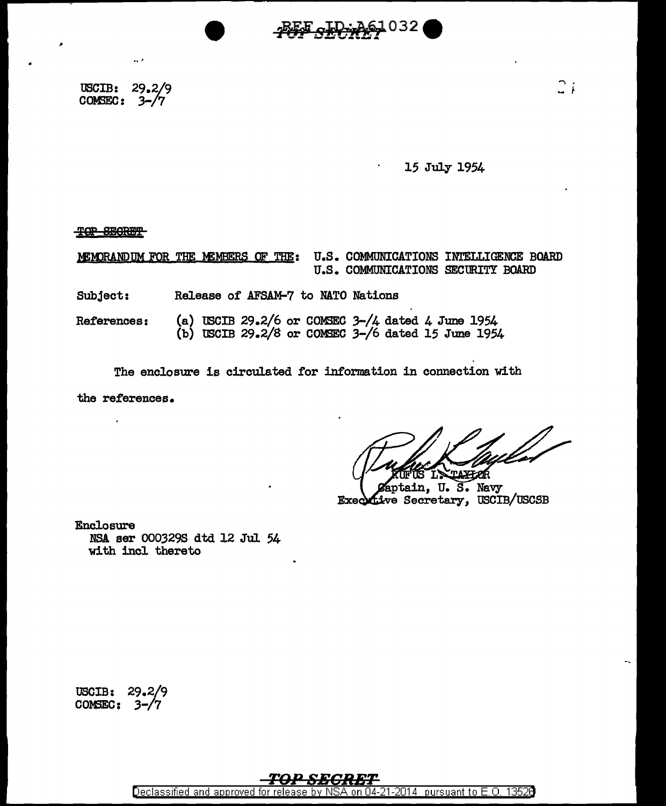l032

à,

USCIB: 29.2/9 COMSEC:  $3-\sqrt{7}$ 

.. '

## 15 July 1954

... ·~ f

TOP SEGRET

MEMORANDUM FOR THE MEMBERS OF THE: U.S. COMMUNICATIONS INTELLIGENCE BOARD U.S. COMMUNICATIONS SECURITY BOARD

Subject: Release of AFSAM-7 to NATO Nations

References: (a) USCIB 29.2/6 or COMSEC  $3-\frac{1}{4}$  dated 4 June 1954 (b) USCIB  $29.2/8$  or COMSEC  $3-/6$  dated 15 June 1954

The enclosure is circulated for information in connection with

the references.

 $\cdot$ 

aptain, U.S. Navy Executive Secretary, USCIB/USCSB

Enclosure NSA ser 0003298 dtd 12 Jul 54 with incl thereto

USCIB: COMSEC: 3-

Declassified and approved for release by NSA on 04-21-2014 pursuant to E.O. 1352B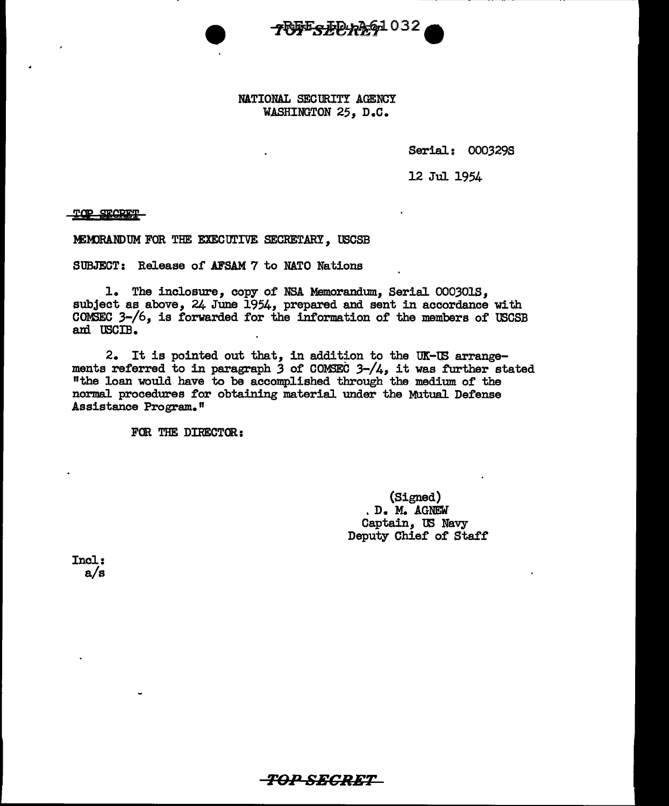

NATIONAL SECURITY AGENCY WASHINGTON 25, D.C.

Serial: 0003298

12 Jul 1954

TOP SECRET

MEMORANDUM FOR THE EXECUTIVE SECRETARY, USCSB

SUBJECT: Release of AFSAM 7 to NATO Nations

1. The inclosure, copy of NSA Memorandum, Serial 0003018, subject as above, 24 June 1954, prepared and sent in accordance with COMSEC  $3-\frac{1}{6}$ , is forwarded for the information of the members of USCSB am USCIB.

2. It is pointed out that, in addition to the UX-tB arrangements referred to in paragraph *3* of COM3EC 3-/4, it was further stated "the loan would have to be accomplished through the medium of the normal procedures for obtaining material under the Mutual Defense Assistance Program."

FOR THE DIRECTOR:

(Signed) . D. M. AGNEW Captain, 'IE Navy Deputy Chief of Staff

Incl: a/s

## ro,n *SECRET*